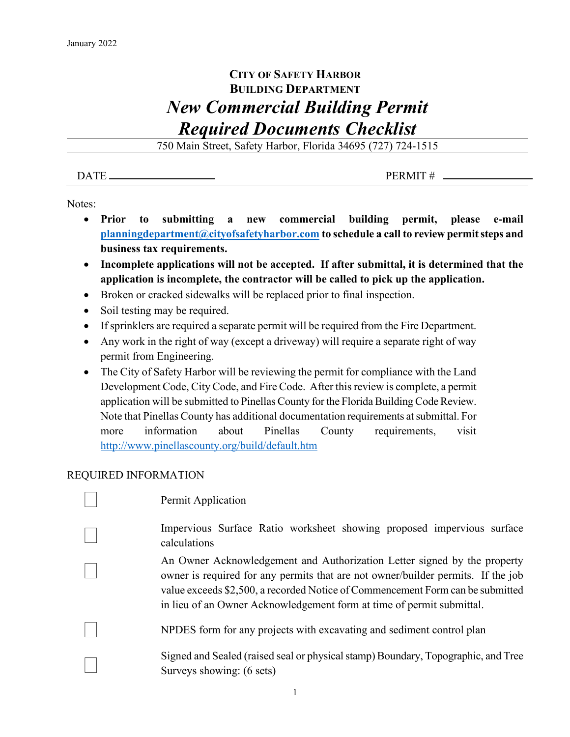## **CITY OF SAFETY HARBOR BUILDING DEPARTMENT** *New Commercial Building Permit Required Documents Checklist*

750 Main Street, Safety Harbor, Florida 34695 (727) 724-1515

 $\overline{DATE}$  PERMIT #

Notes:

- **Prior to submitting a new commercial building permit, please e-mail [planningdepartment@cityofsafetyharbor.com](mailto:planningdepartment@cityofsafetyharbor.com) to schedule a call to review permit steps and business tax requirements.**
- **Incomplete applications will not be accepted. If after submittal, it is determined that the application is incomplete, the contractor will be called to pick up the application.**
- Broken or cracked sidewalks will be replaced prior to final inspection.
- Soil testing may be required.
- If sprinklers are required a separate permit will be required from the Fire Department.
- Any work in the right of way (except a driveway) will require a separate right of way permit from Engineering.
- The City of Safety Harbor will be reviewing the permit for compliance with the Land Development Code, City Code, and Fire Code. After this review is complete, a permit application will be submitted to Pinellas County for the Florida Building Code Review. Note that Pinellas County has additional documentation requirements at submittal. For more information about Pinellas County requirements, visit <http://www.pinellascounty.org/build/default.htm>

## REQUIRED INFORMATION

| Permit Application                                                                                                                                                                                                                                                                                                      |
|-------------------------------------------------------------------------------------------------------------------------------------------------------------------------------------------------------------------------------------------------------------------------------------------------------------------------|
| Impervious Surface Ratio worksheet showing proposed impervious surface<br>calculations                                                                                                                                                                                                                                  |
| An Owner Acknowledgement and Authorization Letter signed by the property<br>owner is required for any permits that are not owner/builder permits. If the job<br>value exceeds \$2,500, a recorded Notice of Commencement Form can be submitted<br>in lieu of an Owner Acknowledgement form at time of permit submittal. |
| NPDES form for any projects with excavating and sediment control plan                                                                                                                                                                                                                                                   |
| Signed and Sealed (raised seal or physical stamp) Boundary, Topographic, and Tree<br>Surveys showing: (6 sets)                                                                                                                                                                                                          |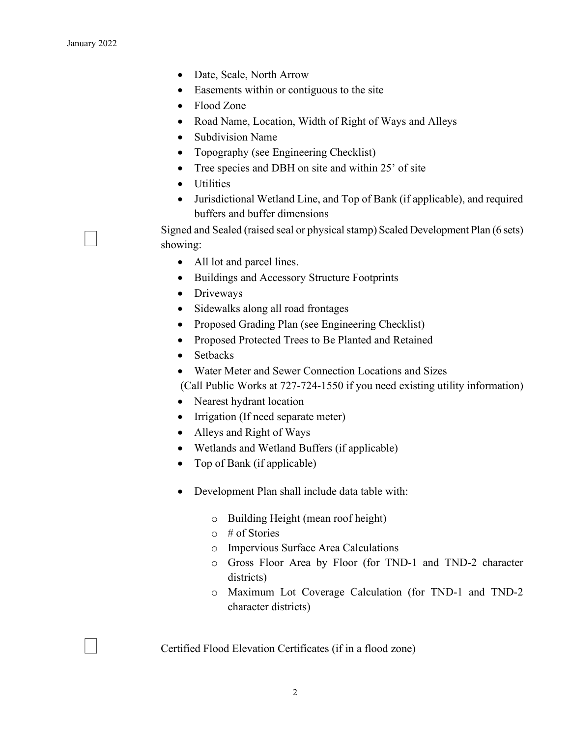- Date, Scale, North Arrow
- Easements within or contiguous to the site
- Flood Zone
- Road Name, Location, Width of Right of Ways and Alleys
- Subdivision Name
- Topography (see Engineering Checklist)
- Tree species and DBH on site and within 25' of site
- Utilities
- Jurisdictional Wetland Line, and Top of Bank (if applicable), and required buffers and buffer dimensions

 Signed and Sealed (raised seal or physical stamp) Scaled Development Plan (6 sets) showing:

- All lot and parcel lines.
- Buildings and Accessory Structure Footprints
- Driveways
- Sidewalks along all road frontages
- Proposed Grading Plan (see Engineering Checklist)
- Proposed Protected Trees to Be Planted and Retained
- Setbacks
- Water Meter and Sewer Connection Locations and Sizes

(Call Public Works at 727-724-1550 if you need existing utility information)

- Nearest hydrant location
- Irrigation (If need separate meter)
- Alleys and Right of Ways
- Wetlands and Wetland Buffers (if applicable)
- Top of Bank (if applicable)
- Development Plan shall include data table with:
	- o Building Height (mean roof height)
	- $\circ$  # of Stories
	- o Impervious Surface Area Calculations
	- o Gross Floor Area by Floor (for TND-1 and TND-2 character districts)
	- o Maximum Lot Coverage Calculation (for TND-1 and TND-2 character districts)

Certified Flood Elevation Certificates (if in a flood zone)